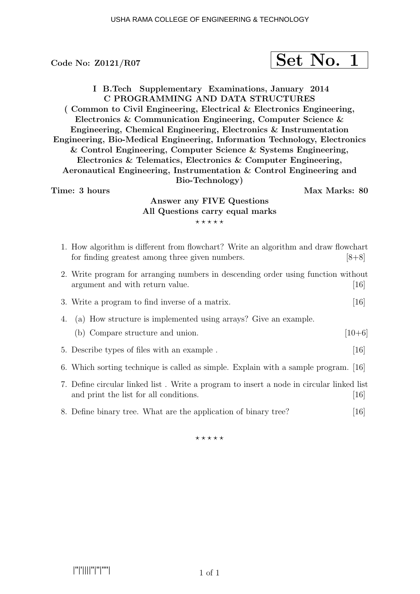# Code No:  $Z0121/R07$  Set No. 1

I B.Tech Supplementary Examinations, January 2014 C PROGRAMMING AND DATA STRUCTURES ( Common to Civil Engineering, Electrical & Electronics Engineering, Electronics & Communication Engineering, Computer Science & Engineering, Chemical Engineering, Electronics & Instrumentation Engineering, Bio-Medical Engineering, Information Technology, Electronics & Control Engineering, Computer Science & Systems Engineering, Electronics & Telematics, Electronics & Computer Engineering, Aeronautical Engineering, Instrumentation & Control Engineering and Bio-Technology) Time: 3 hours and the set of the set of the Max Marks: 80

### Answer any FIVE Questions All Questions carry equal marks  $***$ \*\*

| 1. How algorithm is different from flowchart? Write an algorithm and draw flowchart<br>for finding greatest among three given numbers. | $[8+8]$           |
|----------------------------------------------------------------------------------------------------------------------------------------|-------------------|
| 2. Write program for arranging numbers in descending order using function without<br>argument and with return value.                   | $\left[16\right]$ |
| 3. Write a program to find inverse of a matrix.                                                                                        | $\left[16\right]$ |
| 4. (a) How structure is implemented using arrays? Give an example.                                                                     |                   |
| (b) Compare structure and union.                                                                                                       | $[10+6]$          |
| 5. Describe types of files with an example.                                                                                            | $\left[16\right]$ |
| 6. Which sorting technique is called as simple. Explain with a sample program. [16]                                                    |                   |
| 7. Define circular linked list. Write a program to insert a node in circular linked list<br>and print the list for all conditions.     | $\left[16\right]$ |
| 8. Define binary tree. What are the application of binary tree?                                                                        | 16                |

 $***$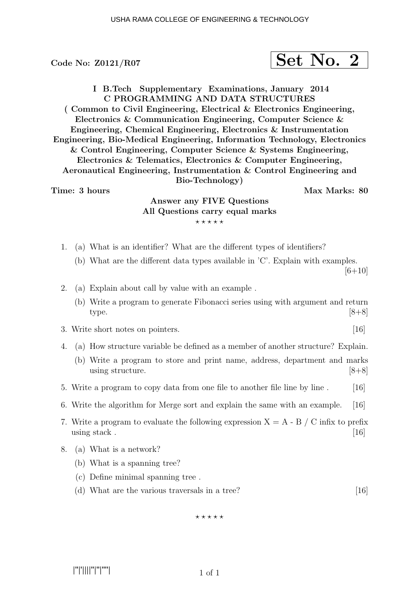# Code No:  $Z0121/R07$  Set No. 2

I B.Tech Supplementary Examinations, January 2014 C PROGRAMMING AND DATA STRUCTURES ( Common to Civil Engineering, Electrical & Electronics Engineering, Electronics & Communication Engineering, Computer Science & Engineering, Chemical Engineering, Electronics & Instrumentation Engineering, Bio-Medical Engineering, Information Technology, Electronics & Control Engineering, Computer Science & Systems Engineering, Electronics & Telematics, Electronics & Computer Engineering, Aeronautical Engineering, Instrumentation & Control Engineering and Bio-Technology) Time: 3 hours and the set of the set of the Max Marks: 80

### Answer any FIVE Questions All Questions carry equal marks  $***$ \*\*

- 1. (a) What is an identifier? What are the different types of identifiers?
	- (b) What are the different data types available in 'C'. Explain with examples.

 $[6+10]$ 

- 2. (a) Explain about call by value with an example .
	- (b) Write a program to generate Fibonacci series using with argument and return type.  $[8+8]$

### 3. Write short notes on pointers. [16]

- 4. (a) How structure variable be defined as a member of another structure? Explain.
	- (b) Write a program to store and print name, address, department and marks using structure.  $[8+8]$
- 5. Write a program to copy data from one file to another file line by line . [16]
- 6. Write the algorithm for Merge sort and explain the same with an example. [16]
- 7. Write a program to evaluate the following expression  $X = A B / C$  infix to prefix using stack  $\,$  [16]
- 8. (a) What is a network?
	- (b) What is a spanning tree?
	- (c) Define minimal spanning tree .
	- (d) What are the various traversals in a tree? [16]

 $***$ \*\*

|''|'||||''|''|''''|

1 of 1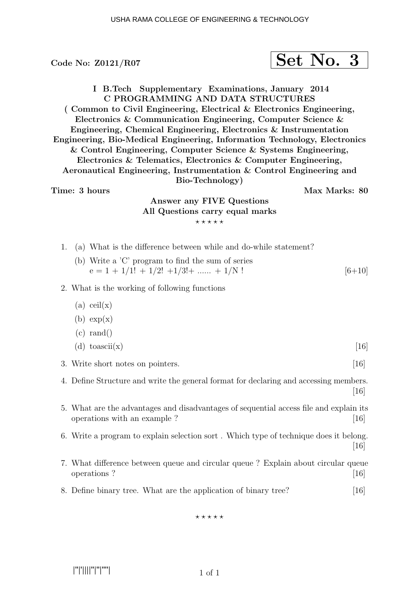# Code No:  $\text{Z0121/RO7}$  Set No. 3

I B.Tech Supplementary Examinations, January 2014 C PROGRAMMING AND DATA STRUCTURES ( Common to Civil Engineering, Electrical & Electronics Engineering, Electronics & Communication Engineering, Computer Science & Engineering, Chemical Engineering, Electronics & Instrumentation Engineering, Bio-Medical Engineering, Information Technology, Electronics & Control Engineering, Computer Science & Systems Engineering, Electronics & Telematics, Electronics & Computer Engineering, Aeronautical Engineering, Instrumentation & Control Engineering and Bio-Technology) Time: 3 hours and the set of the set of the Max Marks: 80

## Answer any FIVE Questions All Questions carry equal marks  $***$ \*\*

- 1. (a) What is the difference between while and do-while statement?
	- (b) Write a 'C' program to find the sum of series  $e = 1 + 1/1! + 1/2! + 1/3! + \dots + 1/N!$  [6+10]

### 2. What is the working of following functions

- $(a)$  ceil $(x)$
- $(b) exp(x)$
- $(c)$  rand $()$ (d) toascii(x)  $[16]$
- 3. Write short notes on pointers. [16]
- 4. Define Structure and write the general format for declaring and accessing members.  $|16|$
- 5. What are the advantages and disadvantages of sequential access file and explain its operations with an example ? [16]
- 6. Write a program to explain selection sort . Which type of technique does it belong. [16]
- 7. What difference between queue and circular queue ? Explain about circular queue operations ? [16]
- 8. Define binary tree. What are the application of binary tree? [16]

 $***$ \*\*

|''|'||||''|''|''''|